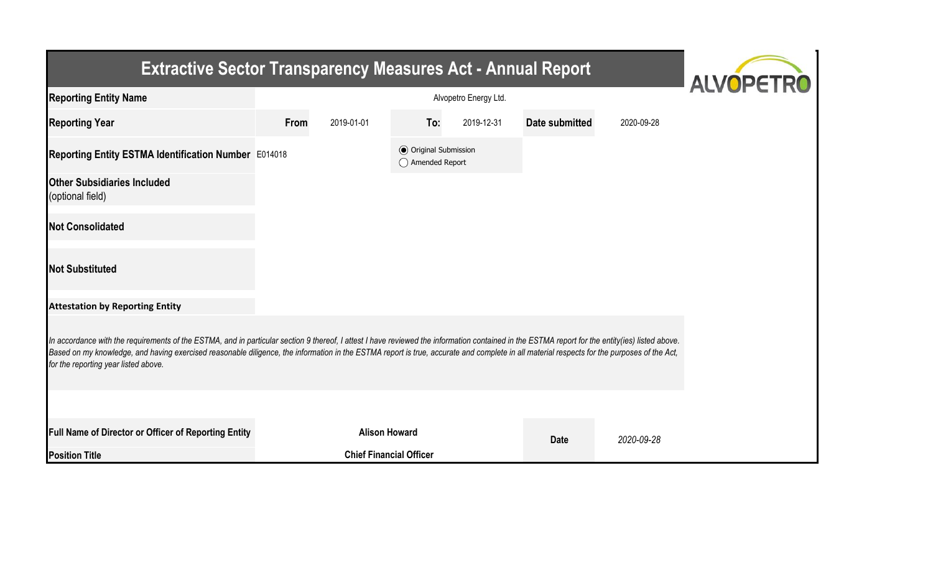| <b>Extractive Sector Transparency Measures Act - Annual Report</b>                                                                                                                                                                                                                                                                                                                                                                    | <b>ALVOPETRO</b> |                                |                                                  |            |                |            |  |  |  |  |
|---------------------------------------------------------------------------------------------------------------------------------------------------------------------------------------------------------------------------------------------------------------------------------------------------------------------------------------------------------------------------------------------------------------------------------------|------------------|--------------------------------|--------------------------------------------------|------------|----------------|------------|--|--|--|--|
| <b>Reporting Entity Name</b>                                                                                                                                                                                                                                                                                                                                                                                                          |                  |                                |                                                  |            |                |            |  |  |  |  |
| <b>Reporting Year</b>                                                                                                                                                                                                                                                                                                                                                                                                                 | <b>From</b>      | 2019-01-01                     | To:                                              | 2019-12-31 | Date submitted | 2020-09-28 |  |  |  |  |
| Reporting Entity ESTMA Identification Number E014018                                                                                                                                                                                                                                                                                                                                                                                  |                  |                                | <b>◎</b> Original Submission<br>◯ Amended Report |            |                |            |  |  |  |  |
| <b>Other Subsidiaries Included</b><br>(optional field)                                                                                                                                                                                                                                                                                                                                                                                |                  |                                |                                                  |            |                |            |  |  |  |  |
| <b>Not Consolidated</b>                                                                                                                                                                                                                                                                                                                                                                                                               |                  |                                |                                                  |            |                |            |  |  |  |  |
| <b>Not Substituted</b>                                                                                                                                                                                                                                                                                                                                                                                                                |                  |                                |                                                  |            |                |            |  |  |  |  |
| <b>Attestation by Reporting Entity</b>                                                                                                                                                                                                                                                                                                                                                                                                |                  |                                |                                                  |            |                |            |  |  |  |  |
| In accordance with the requirements of the ESTMA, and in particular section 9 thereof, I attest I have reviewed the information contained in the ESTMA report for the entity(ies) listed above.<br>Based on my knowledge, and having exercised reasonable diligence, the information in the ESTMA report is true, accurate and complete in all material respects for the purposes of the Act,<br>for the reporting year listed above. |                  |                                |                                                  |            |                |            |  |  |  |  |
|                                                                                                                                                                                                                                                                                                                                                                                                                                       |                  |                                |                                                  |            |                |            |  |  |  |  |
| Full Name of Director or Officer of Reporting Entity                                                                                                                                                                                                                                                                                                                                                                                  |                  | <b>Alison Howard</b>           |                                                  |            | <b>Date</b>    | 2020-09-28 |  |  |  |  |
| <b>Position Title</b>                                                                                                                                                                                                                                                                                                                                                                                                                 |                  | <b>Chief Financial Officer</b> |                                                  |            |                |            |  |  |  |  |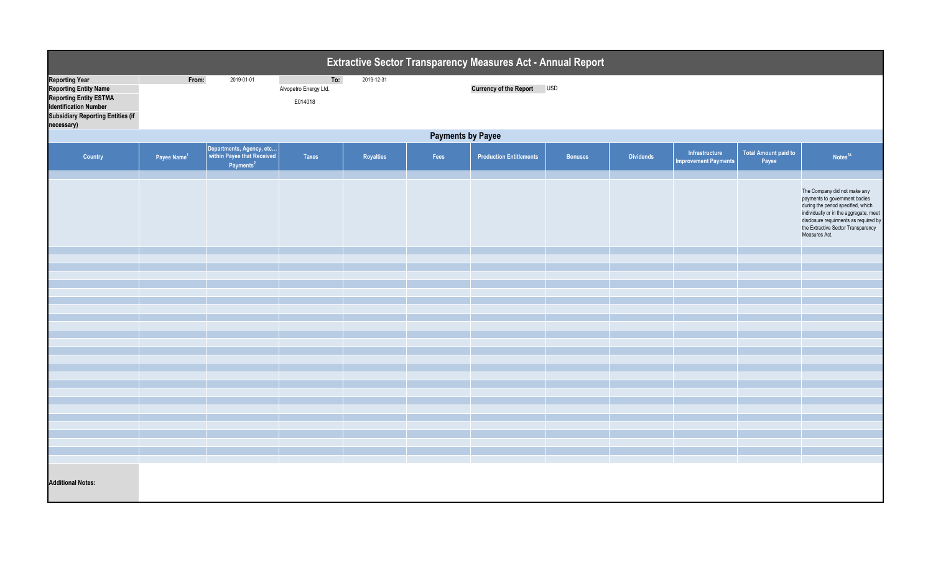| Extractive Sector Transparency Measures Act - Annual Report                                                                                                                      |                          |                                                   |                                         |            |      |                                |                |                  |                                               |                                      |                                                                                                                                                                                                                                               |
|----------------------------------------------------------------------------------------------------------------------------------------------------------------------------------|--------------------------|---------------------------------------------------|-----------------------------------------|------------|------|--------------------------------|----------------|------------------|-----------------------------------------------|--------------------------------------|-----------------------------------------------------------------------------------------------------------------------------------------------------------------------------------------------------------------------------------------------|
| <b>Reporting Year</b><br><b>Reporting Entity Name</b><br><b>Reporting Entity ESTMA</b><br><b>Identification Number</b><br><b>Subsidiary Reporting Entities (if</b><br>necessary) | From:                    | 2019-01-01                                        | To:<br>Alvopetro Energy Ltd.<br>E014018 | 2019-12-31 |      | Currency of the Report USD     |                |                  |                                               |                                      |                                                                                                                                                                                                                                               |
|                                                                                                                                                                                  | <b>Payments by Payee</b> |                                                   |                                         |            |      |                                |                |                  |                                               |                                      |                                                                                                                                                                                                                                               |
| Country                                                                                                                                                                          | Payee Name <sup>1</sup>  | Departments, Agency, etc<br>Payments <sup>2</sup> | <b>Taxes</b>                            | Royalties  | Fees | <b>Production Entitlements</b> | <b>Bonuses</b> | <b>Dividends</b> | Infrastructure<br><b>Improvement Payments</b> | <b>Total Amount paid to</b><br>Payee | Notes <sup>34</sup>                                                                                                                                                                                                                           |
|                                                                                                                                                                                  |                          |                                                   |                                         |            |      |                                |                |                  |                                               |                                      | The Company did not make any<br>payments to government bodies<br>during the period specified, which<br>individually or in the aggregate, meet<br>disclosure requirments as required by<br>the Extractive Sector Transparency<br>Measures Act. |
|                                                                                                                                                                                  |                          |                                                   |                                         |            |      |                                |                |                  |                                               |                                      |                                                                                                                                                                                                                                               |
|                                                                                                                                                                                  |                          |                                                   |                                         |            |      |                                |                |                  |                                               |                                      |                                                                                                                                                                                                                                               |
|                                                                                                                                                                                  |                          |                                                   |                                         |            |      |                                |                |                  |                                               |                                      |                                                                                                                                                                                                                                               |
|                                                                                                                                                                                  |                          |                                                   |                                         |            |      |                                |                |                  |                                               |                                      |                                                                                                                                                                                                                                               |
|                                                                                                                                                                                  |                          |                                                   |                                         |            |      |                                |                |                  |                                               |                                      |                                                                                                                                                                                                                                               |
|                                                                                                                                                                                  |                          |                                                   |                                         |            |      |                                |                |                  |                                               |                                      |                                                                                                                                                                                                                                               |
|                                                                                                                                                                                  |                          |                                                   |                                         |            |      |                                |                |                  |                                               |                                      |                                                                                                                                                                                                                                               |
|                                                                                                                                                                                  |                          |                                                   |                                         |            |      |                                |                |                  |                                               |                                      |                                                                                                                                                                                                                                               |
|                                                                                                                                                                                  |                          |                                                   |                                         |            |      |                                |                |                  |                                               |                                      |                                                                                                                                                                                                                                               |
|                                                                                                                                                                                  |                          |                                                   |                                         |            |      |                                |                |                  |                                               |                                      |                                                                                                                                                                                                                                               |
|                                                                                                                                                                                  |                          |                                                   |                                         |            |      |                                |                |                  |                                               |                                      |                                                                                                                                                                                                                                               |
|                                                                                                                                                                                  |                          |                                                   |                                         |            |      |                                |                |                  |                                               |                                      |                                                                                                                                                                                                                                               |
|                                                                                                                                                                                  |                          |                                                   |                                         |            |      |                                |                |                  |                                               |                                      |                                                                                                                                                                                                                                               |
|                                                                                                                                                                                  |                          |                                                   |                                         |            |      |                                |                |                  |                                               |                                      |                                                                                                                                                                                                                                               |
|                                                                                                                                                                                  |                          |                                                   |                                         |            |      |                                |                |                  |                                               |                                      |                                                                                                                                                                                                                                               |
|                                                                                                                                                                                  |                          |                                                   |                                         |            |      |                                |                |                  |                                               |                                      |                                                                                                                                                                                                                                               |
|                                                                                                                                                                                  |                          |                                                   |                                         |            |      |                                |                |                  |                                               |                                      |                                                                                                                                                                                                                                               |
|                                                                                                                                                                                  |                          |                                                   |                                         |            |      |                                |                |                  |                                               |                                      |                                                                                                                                                                                                                                               |
|                                                                                                                                                                                  |                          |                                                   |                                         |            |      |                                |                |                  |                                               |                                      |                                                                                                                                                                                                                                               |
| <b>Additional Notes:</b>                                                                                                                                                         |                          |                                                   |                                         |            |      |                                |                |                  |                                               |                                      |                                                                                                                                                                                                                                               |